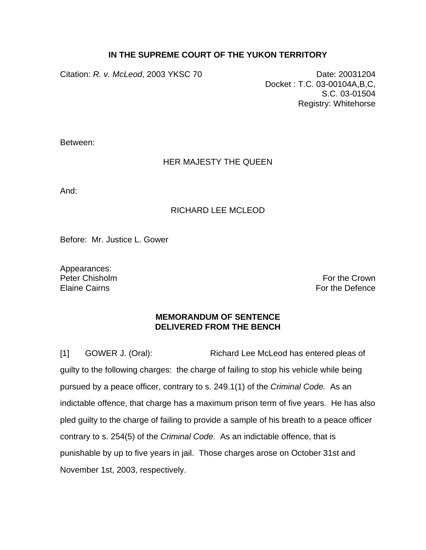## **IN THE SUPREME COURT OF THE YUKON TERRITORY**

Citation: *R. v. McLeod*, 2003 YKSC 70 Date: 20031204

Docket : T.C. 03-00104A,B,C, S.C. 03-01504 Registry: Whitehorse

Between:

## HER MAJESTY THE QUEEN

And:

## RICHARD LEE MCLEOD

Before: Mr. Justice L. Gower

Appearances:

Peter Chisholm **For the Crown** Elaine Cairns For the Defence Form of the Defence Form of the Defence Form of the Defence

## **MEMORANDUM OF SENTENCE DELIVERED FROM THE BENCH**

[1] GOWER J. (Oral): Richard Lee McLeod has entered pleas of guilty to the following charges: the charge of failing to stop his vehicle while being pursued by a peace officer, contrary to s. 249.1(1) of the *Criminal Code.* As an indictable offence, that charge has a maximum prison term of five years. He has also pled guilty to the charge of failing to provide a sample of his breath to a peace officer contrary to s. 254(5) of the *Criminal Code*. As an indictable offence, that is punishable by up to five years in jail. Those charges arose on October 31st and November 1st, 2003, respectively.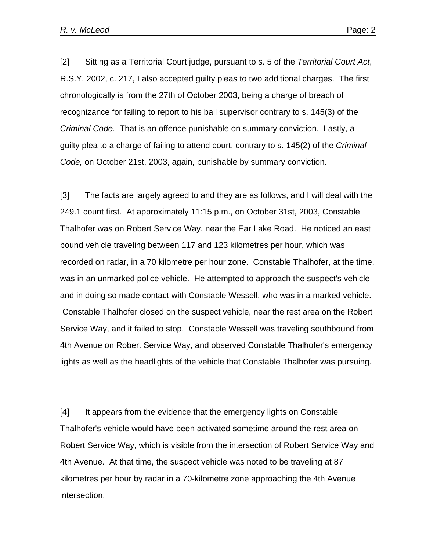[2] Sitting as a Territorial Court judge, pursuant to s. 5 of the *Territorial Court Act*, R.S.Y. 2002, c. 217, I also accepted guilty pleas to two additional charges. The first chronologically is from the 27th of October 2003, being a charge of breach of recognizance for failing to report to his bail supervisor contrary to s. 145(3) of the *Criminal Code.* That is an offence punishable on summary conviction. Lastly, a guilty plea to a charge of failing to attend court, contrary to s. 145(2) of the *Criminal Code,* on October 21st, 2003, again, punishable by summary conviction.

[3] The facts are largely agreed to and they are as follows, and I will deal with the 249.1 count first. At approximately 11:15 p.m., on October 31st, 2003, Constable Thalhofer was on Robert Service Way, near the Ear Lake Road. He noticed an east bound vehicle traveling between 117 and 123 kilometres per hour, which was recorded on radar, in a 70 kilometre per hour zone. Constable Thalhofer, at the time, was in an unmarked police vehicle. He attempted to approach the suspect's vehicle and in doing so made contact with Constable Wessell, who was in a marked vehicle. Constable Thalhofer closed on the suspect vehicle, near the rest area on the Robert Service Way, and it failed to stop. Constable Wessell was traveling southbound from 4th Avenue on Robert Service Way, and observed Constable Thalhofer's emergency lights as well as the headlights of the vehicle that Constable Thalhofer was pursuing.

[4] It appears from the evidence that the emergency lights on Constable Thalhofer's vehicle would have been activated sometime around the rest area on Robert Service Way, which is visible from the intersection of Robert Service Way and 4th Avenue. At that time, the suspect vehicle was noted to be traveling at 87 kilometres per hour by radar in a 70-kilometre zone approaching the 4th Avenue intersection.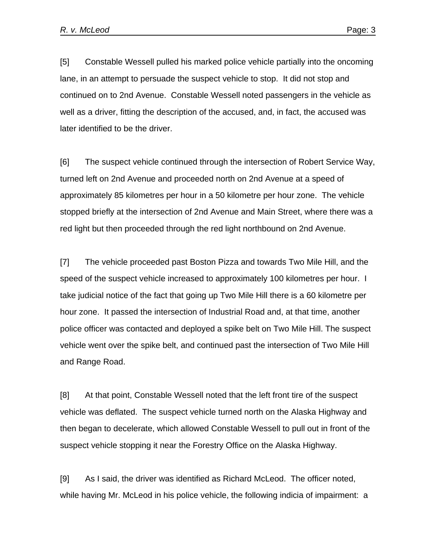[5] Constable Wessell pulled his marked police vehicle partially into the oncoming lane, in an attempt to persuade the suspect vehicle to stop. It did not stop and continued on to 2nd Avenue. Constable Wessell noted passengers in the vehicle as well as a driver, fitting the description of the accused, and, in fact, the accused was later identified to be the driver.

[6] The suspect vehicle continued through the intersection of Robert Service Way, turned left on 2nd Avenue and proceeded north on 2nd Avenue at a speed of approximately 85 kilometres per hour in a 50 kilometre per hour zone. The vehicle stopped briefly at the intersection of 2nd Avenue and Main Street, where there was a red light but then proceeded through the red light northbound on 2nd Avenue.

[7] The vehicle proceeded past Boston Pizza and towards Two Mile Hill, and the speed of the suspect vehicle increased to approximately 100 kilometres per hour. I take judicial notice of the fact that going up Two Mile Hill there is a 60 kilometre per hour zone. It passed the intersection of Industrial Road and, at that time, another police officer was contacted and deployed a spike belt on Two Mile Hill. The suspect vehicle went over the spike belt, and continued past the intersection of Two Mile Hill and Range Road.

[8] At that point, Constable Wessell noted that the left front tire of the suspect vehicle was deflated. The suspect vehicle turned north on the Alaska Highway and then began to decelerate, which allowed Constable Wessell to pull out in front of the suspect vehicle stopping it near the Forestry Office on the Alaska Highway.

[9] As I said, the driver was identified as Richard McLeod. The officer noted, while having Mr. McLeod in his police vehicle, the following indicia of impairment: a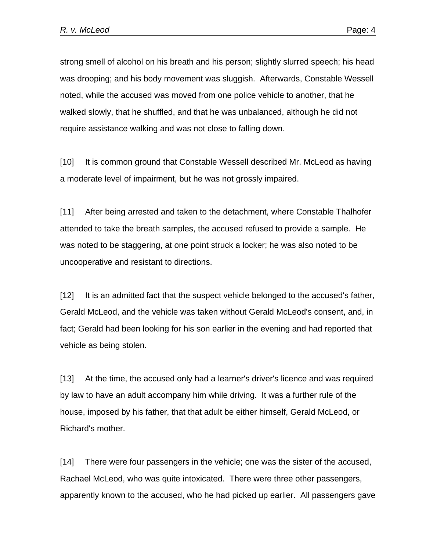strong smell of alcohol on his breath and his person; slightly slurred speech; his head was drooping; and his body movement was sluggish. Afterwards, Constable Wessell noted, while the accused was moved from one police vehicle to another, that he walked slowly, that he shuffled, and that he was unbalanced, although he did not require assistance walking and was not close to falling down.

[10] It is common ground that Constable Wessell described Mr. McLeod as having a moderate level of impairment, but he was not grossly impaired.

[11] After being arrested and taken to the detachment, where Constable Thalhofer attended to take the breath samples, the accused refused to provide a sample. He was noted to be staggering, at one point struck a locker; he was also noted to be uncooperative and resistant to directions.

[12] It is an admitted fact that the suspect vehicle belonged to the accused's father, Gerald McLeod, and the vehicle was taken without Gerald McLeod's consent, and, in fact; Gerald had been looking for his son earlier in the evening and had reported that vehicle as being stolen.

[13] At the time, the accused only had a learner's driver's licence and was required by law to have an adult accompany him while driving. It was a further rule of the house, imposed by his father, that that adult be either himself, Gerald McLeod, or Richard's mother.

[14] There were four passengers in the vehicle; one was the sister of the accused, Rachael McLeod, who was quite intoxicated. There were three other passengers, apparently known to the accused, who he had picked up earlier. All passengers gave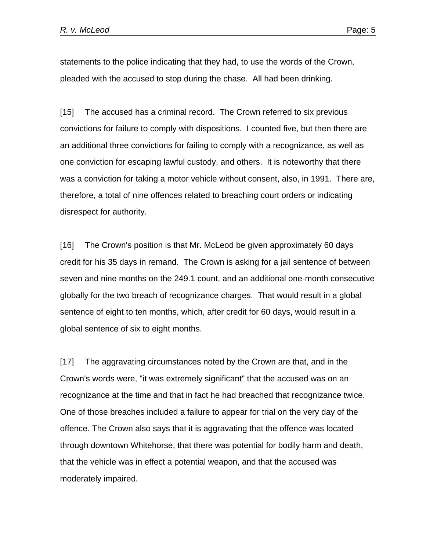statements to the police indicating that they had, to use the words of the Crown, pleaded with the accused to stop during the chase. All had been drinking.

[15] The accused has a criminal record. The Crown referred to six previous convictions for failure to comply with dispositions. I counted five, but then there are an additional three convictions for failing to comply with a recognizance, as well as one conviction for escaping lawful custody, and others. It is noteworthy that there was a conviction for taking a motor vehicle without consent, also, in 1991. There are, therefore, a total of nine offences related to breaching court orders or indicating disrespect for authority.

[16] The Crown's position is that Mr. McLeod be given approximately 60 days credit for his 35 days in remand. The Crown is asking for a jail sentence of between seven and nine months on the 249.1 count, and an additional one-month consecutive globally for the two breach of recognizance charges. That would result in a global sentence of eight to ten months, which, after credit for 60 days, would result in a global sentence of six to eight months.

[17] The aggravating circumstances noted by the Crown are that, and in the Crown's words were, "it was extremely significant" that the accused was on an recognizance at the time and that in fact he had breached that recognizance twice. One of those breaches included a failure to appear for trial on the very day of the offence. The Crown also says that it is aggravating that the offence was located through downtown Whitehorse, that there was potential for bodily harm and death, that the vehicle was in effect a potential weapon, and that the accused was moderately impaired.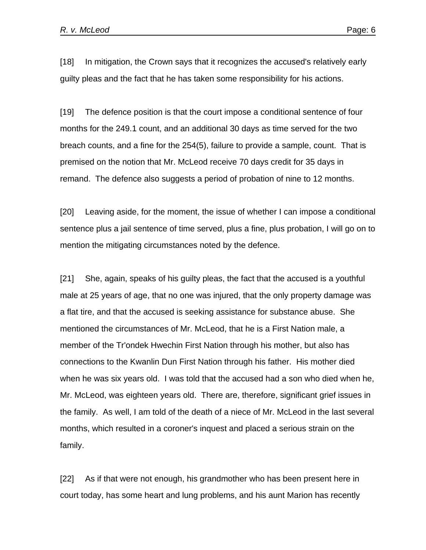[18] In mitigation, the Crown says that it recognizes the accused's relatively early guilty pleas and the fact that he has taken some responsibility for his actions.

[19] The defence position is that the court impose a conditional sentence of four months for the 249.1 count, and an additional 30 days as time served for the two breach counts, and a fine for the 254(5), failure to provide a sample, count. That is premised on the notion that Mr. McLeod receive 70 days credit for 35 days in remand. The defence also suggests a period of probation of nine to 12 months.

[20] Leaving aside, for the moment, the issue of whether I can impose a conditional sentence plus a jail sentence of time served, plus a fine, plus probation, I will go on to mention the mitigating circumstances noted by the defence.

[21] She, again, speaks of his guilty pleas, the fact that the accused is a youthful male at 25 years of age, that no one was injured, that the only property damage was a flat tire, and that the accused is seeking assistance for substance abuse. She mentioned the circumstances of Mr. McLeod, that he is a First Nation male, a member of the Tr'ondek Hwechin First Nation through his mother, but also has connections to the Kwanlin Dun First Nation through his father. His mother died when he was six years old. I was told that the accused had a son who died when he, Mr. McLeod, was eighteen years old. There are, therefore, significant grief issues in the family. As well, I am told of the death of a niece of Mr. McLeod in the last several months, which resulted in a coroner's inquest and placed a serious strain on the family.

[22] As if that were not enough, his grandmother who has been present here in court today, has some heart and lung problems, and his aunt Marion has recently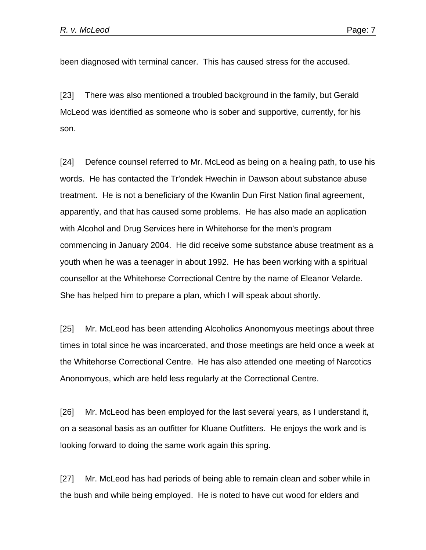been diagnosed with terminal cancer. This has caused stress for the accused.

[23] There was also mentioned a troubled background in the family, but Gerald McLeod was identified as someone who is sober and supportive, currently, for his son.

[24] Defence counsel referred to Mr. McLeod as being on a healing path, to use his words. He has contacted the Tr'ondek Hwechin in Dawson about substance abuse treatment. He is not a beneficiary of the Kwanlin Dun First Nation final agreement, apparently, and that has caused some problems. He has also made an application with Alcohol and Drug Services here in Whitehorse for the men's program commencing in January 2004. He did receive some substance abuse treatment as a youth when he was a teenager in about 1992. He has been working with a spiritual counsellor at the Whitehorse Correctional Centre by the name of Eleanor Velarde. She has helped him to prepare a plan, which I will speak about shortly.

[25] Mr. McLeod has been attending Alcoholics Anonomyous meetings about three times in total since he was incarcerated, and those meetings are held once a week at the Whitehorse Correctional Centre. He has also attended one meeting of Narcotics Anonomyous, which are held less regularly at the Correctional Centre.

[26] Mr. McLeod has been employed for the last several years, as I understand it, on a seasonal basis as an outfitter for Kluane Outfitters. He enjoys the work and is looking forward to doing the same work again this spring.

[27] Mr. McLeod has had periods of being able to remain clean and sober while in the bush and while being employed. He is noted to have cut wood for elders and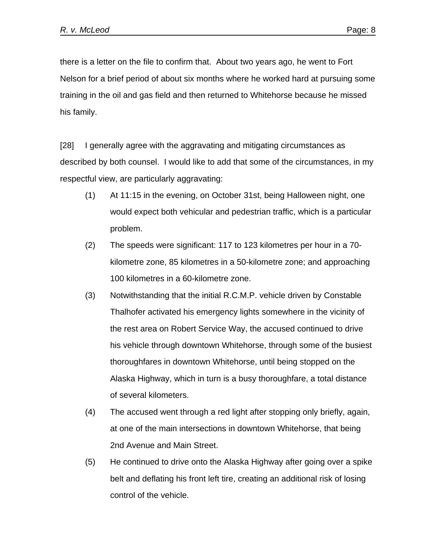there is a letter on the file to confirm that. About two years ago, he went to Fort Nelson for a brief period of about six months where he worked hard at pursuing some training in the oil and gas field and then returned to Whitehorse because he missed his family.

[28] I generally agree with the aggravating and mitigating circumstances as described by both counsel. I would like to add that some of the circumstances, in my respectful view, are particularly aggravating:

- (1) At 11:15 in the evening, on October 31st, being Halloween night, one would expect both vehicular and pedestrian traffic, which is a particular problem.
- (2) The speeds were significant: 117 to 123 kilometres per hour in a 70 kilometre zone, 85 kilometres in a 50-kilometre zone; and approaching 100 kilometres in a 60-kilometre zone.
- (3) Notwithstanding that the initial R.C.M.P. vehicle driven by Constable Thalhofer activated his emergency lights somewhere in the vicinity of the rest area on Robert Service Way, the accused continued to drive his vehicle through downtown Whitehorse, through some of the busiest thoroughfares in downtown Whitehorse, until being stopped on the Alaska Highway, which in turn is a busy thoroughfare, a total distance of several kilometers.
- (4) The accused went through a red light after stopping only briefly, again, at one of the main intersections in downtown Whitehorse, that being 2nd Avenue and Main Street.
- (5) He continued to drive onto the Alaska Highway after going over a spike belt and deflating his front left tire, creating an additional risk of losing control of the vehicle.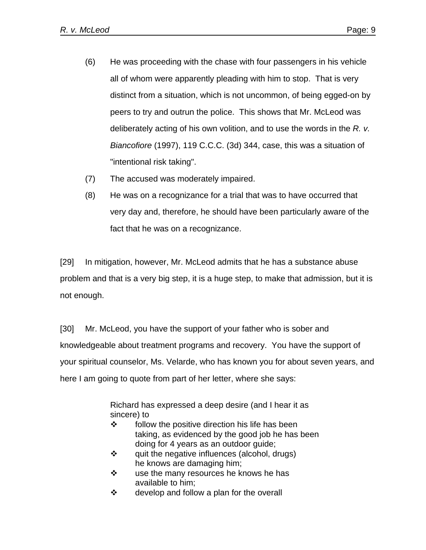- (6) He was proceeding with the chase with four passengers in his vehicle all of whom were apparently pleading with him to stop. That is very distinct from a situation, which is not uncommon, of being egged-on by peers to try and outrun the police. This shows that Mr. McLeod was deliberately acting of his own volition, and to use the words in the *R. v. Biancofiore* (1997), 119 C.C.C. (3d) 344, case, this was a situation of "intentional risk taking".
- (7) The accused was moderately impaired.
- (8) He was on a recognizance for a trial that was to have occurred that very day and, therefore, he should have been particularly aware of the fact that he was on a recognizance.

[29] In mitigation, however, Mr. McLeod admits that he has a substance abuse problem and that is a very big step, it is a huge step, to make that admission, but it is not enough.

[30] Mr. McLeod, you have the support of your father who is sober and knowledgeable about treatment programs and recovery. You have the support of your spiritual counselor, Ms. Velarde, who has known you for about seven years, and here I am going to quote from part of her letter, where she says:

> Richard has expressed a deep desire (and I hear it as sincere) to

- $\mathbf{\hat{P}}$  follow the positive direction his life has been taking, as evidenced by the good job he has been doing for 4 years as an outdoor guide;
- $\mathbf{\hat{P}}$  quit the negative influences (alcohol, drugs) he knows are damaging him;
- $\cdot \cdot$  use the many resources he knows he has available to him;
- $\div$  develop and follow a plan for the overall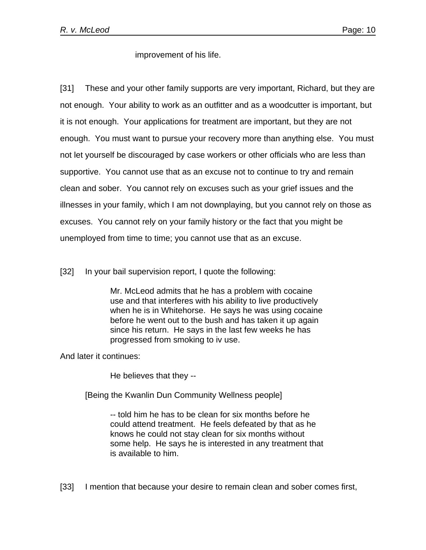improvement of his life.

[31] These and your other family supports are very important, Richard, but they are not enough. Your ability to work as an outfitter and as a woodcutter is important, but it is not enough. Your applications for treatment are important, but they are not enough. You must want to pursue your recovery more than anything else. You must not let yourself be discouraged by case workers or other officials who are less than supportive. You cannot use that as an excuse not to continue to try and remain clean and sober. You cannot rely on excuses such as your grief issues and the illnesses in your family, which I am not downplaying, but you cannot rely on those as excuses. You cannot rely on your family history or the fact that you might be unemployed from time to time; you cannot use that as an excuse.

[32] In your bail supervision report, I quote the following:

Mr. McLeod admits that he has a problem with cocaine use and that interferes with his ability to live productively when he is in Whitehorse. He says he was using cocaine before he went out to the bush and has taken it up again since his return. He says in the last few weeks he has progressed from smoking to iv use.

And later it continues:

He believes that they --

[Being the Kwanlin Dun Community Wellness people]

-- told him he has to be clean for six months before he could attend treatment. He feels defeated by that as he knows he could not stay clean for six months without some help. He says he is interested in any treatment that is available to him.

[33] I mention that because your desire to remain clean and sober comes first,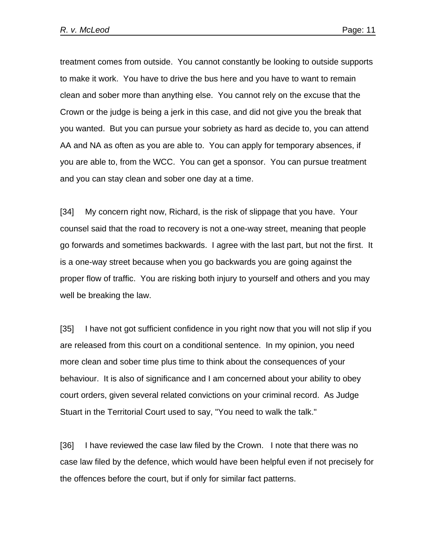treatment comes from outside. You cannot constantly be looking to outside supports to make it work. You have to drive the bus here and you have to want to remain clean and sober more than anything else. You cannot rely on the excuse that the Crown or the judge is being a jerk in this case, and did not give you the break that you wanted. But you can pursue your sobriety as hard as decide to, you can attend AA and NA as often as you are able to. You can apply for temporary absences, if you are able to, from the WCC. You can get a sponsor. You can pursue treatment and you can stay clean and sober one day at a time.

[34] My concern right now, Richard, is the risk of slippage that you have. Your counsel said that the road to recovery is not a one-way street, meaning that people go forwards and sometimes backwards. I agree with the last part, but not the first. It is a one-way street because when you go backwards you are going against the proper flow of traffic. You are risking both injury to yourself and others and you may well be breaking the law.

[35] I have not got sufficient confidence in you right now that you will not slip if you are released from this court on a conditional sentence. In my opinion, you need more clean and sober time plus time to think about the consequences of your behaviour. It is also of significance and I am concerned about your ability to obey court orders, given several related convictions on your criminal record. As Judge Stuart in the Territorial Court used to say, "You need to walk the talk."

[36] I have reviewed the case law filed by the Crown. I note that there was no case law filed by the defence, which would have been helpful even if not precisely for the offences before the court, but if only for similar fact patterns.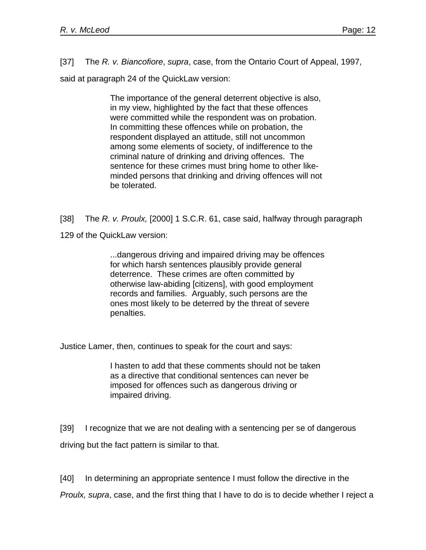[37] The *R. v. Biancofiore*, *supra*, case, from the Ontario Court of Appeal, 1997,

said at paragraph 24 of the QuickLaw version:

The importance of the general deterrent objective is also, in my view, highlighted by the fact that these offences were committed while the respondent was on probation. In committing these offences while on probation, the respondent displayed an attitude, still not uncommon among some elements of society, of indifference to the criminal nature of drinking and driving offences. The sentence for these crimes must bring home to other likeminded persons that drinking and driving offences will not be tolerated.

[38] The *R. v. Proulx,* [2000] 1 S.C.R. 61, case said, halfway through paragraph

129 of the QuickLaw version:

...dangerous driving and impaired driving may be offences for which harsh sentences plausibly provide general deterrence. These crimes are often committed by otherwise law-abiding [citizens], with good employment records and families. Arguably, such persons are the ones most likely to be deterred by the threat of severe penalties.

Justice Lamer, then, continues to speak for the court and says:

I hasten to add that these comments should not be taken as a directive that conditional sentences can never be imposed for offences such as dangerous driving or impaired driving.

[39] I recognize that we are not dealing with a sentencing per se of dangerous driving but the fact pattern is similar to that.

[40] In determining an appropriate sentence I must follow the directive in the

*Proulx, supra*, case, and the first thing that I have to do is to decide whether I reject a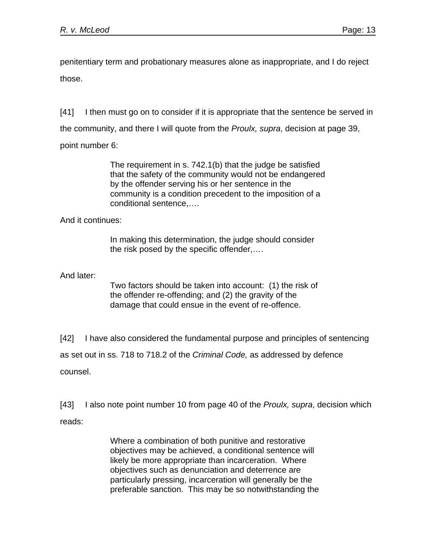penitentiary term and probationary measures alone as inappropriate, and I do reject those.

[41] I then must go on to consider if it is appropriate that the sentence be served in the community, and there I will quote from the *Proulx, supra*, decision at page 39, point number 6:

> The requirement in s. 742.1(b) that the judge be satisfied that the safety of the community would not be endangered by the offender serving his or her sentence in the community is a condition precedent to the imposition of a conditional sentence,….

And it continues:

In making this determination, the judge should consider the risk posed by the specific offender,….

And later:

Two factors should be taken into account: (1) the risk of the offender re-offending; and (2) the gravity of the damage that could ensue in the event of re-offence.

[42] I have also considered the fundamental purpose and principles of sentencing as set out in ss. 718 to 718.2 of the *Criminal Code,* as addressed by defence counsel.

[43] I also note point number 10 from page 40 of the *Proulx, supra*, decision which reads:

> Where a combination of both punitive and restorative objectives may be achieved, a conditional sentence will likely be more appropriate than incarceration. Where objectives such as denunciation and deterrence are particularly pressing, incarceration will generally be the preferable sanction. This may be so notwithstanding the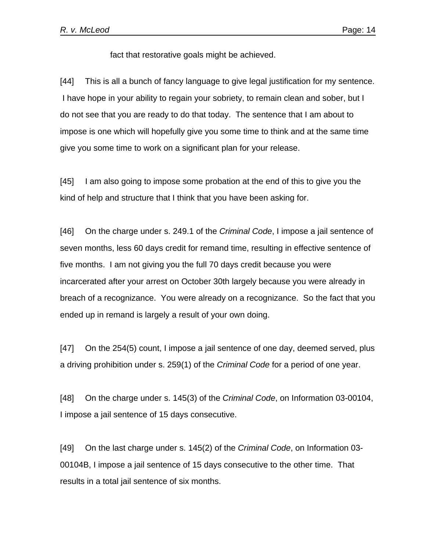fact that restorative goals might be achieved.

[44] This is all a bunch of fancy language to give legal justification for my sentence. I have hope in your ability to regain your sobriety, to remain clean and sober, but I do not see that you are ready to do that today. The sentence that I am about to impose is one which will hopefully give you some time to think and at the same time give you some time to work on a significant plan for your release.

[45] I am also going to impose some probation at the end of this to give you the kind of help and structure that I think that you have been asking for.

[46] On the charge under s. 249.1 of the *Criminal Code*, I impose a jail sentence of seven months, less 60 days credit for remand time, resulting in effective sentence of five months. I am not giving you the full 70 days credit because you were incarcerated after your arrest on October 30th largely because you were already in breach of a recognizance. You were already on a recognizance. So the fact that you ended up in remand is largely a result of your own doing.

[47] On the 254(5) count, I impose a jail sentence of one day, deemed served, plus a driving prohibition under s. 259(1) of the *Criminal Code* for a period of one year.

[48] On the charge under s. 145(3) of the *Criminal Code*, on Information 03-00104, I impose a jail sentence of 15 days consecutive.

[49] On the last charge under s. 145(2) of the *Criminal Code*, on Information 03- 00104B, I impose a jail sentence of 15 days consecutive to the other time. That results in a total jail sentence of six months.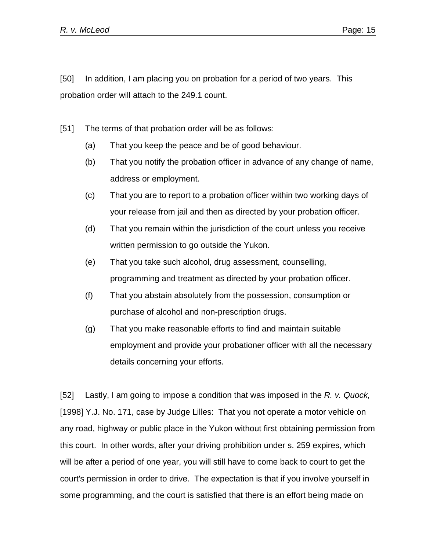[50] In addition, I am placing you on probation for a period of two years. This probation order will attach to the 249.1 count.

[51] The terms of that probation order will be as follows:

- (a) That you keep the peace and be of good behaviour.
- (b) That you notify the probation officer in advance of any change of name, address or employment.
- (c) That you are to report to a probation officer within two working days of your release from jail and then as directed by your probation officer.
- (d) That you remain within the jurisdiction of the court unless you receive written permission to go outside the Yukon.
- (e) That you take such alcohol, drug assessment, counselling, programming and treatment as directed by your probation officer.
- (f) That you abstain absolutely from the possession, consumption or purchase of alcohol and non-prescription drugs.
- (g) That you make reasonable efforts to find and maintain suitable employment and provide your probationer officer with all the necessary details concerning your efforts.

[52] Lastly, I am going to impose a condition that was imposed in the *R. v. Quock,* [1998] Y.J. No. 171, case by Judge Lilles: That you not operate a motor vehicle on any road, highway or public place in the Yukon without first obtaining permission from this court. In other words, after your driving prohibition under s. 259 expires, which will be after a period of one year, you will still have to come back to court to get the court's permission in order to drive. The expectation is that if you involve yourself in some programming, and the court is satisfied that there is an effort being made on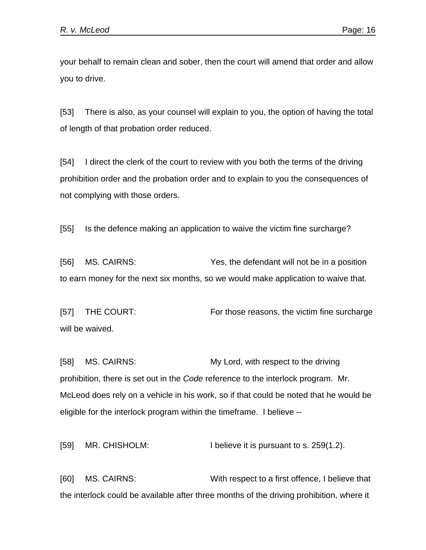your behalf to remain clean and sober, then the court will amend that order and allow you to drive.

[53] There is also, as your counsel will explain to you, the option of having the total of length of that probation order reduced.

[54] I direct the clerk of the court to review with you both the terms of the driving prohibition order and the probation order and to explain to you the consequences of not complying with those orders.

[55] Is the defence making an application to waive the victim fine surcharge?

[56] MS. CAIRNS: Yes, the defendant will not be in a position to earn money for the next six months, so we would make application to waive that.

[57] THE COURT: For those reasons, the victim fine surcharge will be waived.

[58] MS. CAIRNS: My Lord, with respect to the driving prohibition, there is set out in the *Code* reference to the interlock program. Mr. McLeod does rely on a vehicle in his work, so if that could be noted that he would be eligible for the interlock program within the timeframe. I believe --

[59] MR. CHISHOLM: I believe it is pursuant to s. 259(1.2).

[60] MS. CAIRNS: With respect to a first offence, I believe that the interlock could be available after three months of the driving prohibition, where it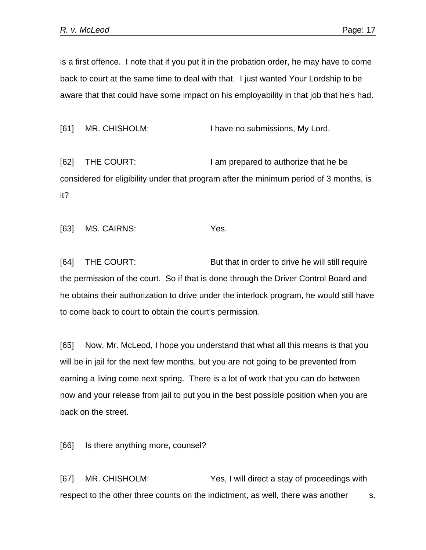is a first offence. I note that if you put it in the probation order, he may have to come back to court at the same time to deal with that. I just wanted Your Lordship to be aware that that could have some impact on his employability in that job that he's had.

[61] MR. CHISHOLM: I have no submissions, My Lord.

[62] THE COURT: I am prepared to authorize that he be considered for eligibility under that program after the minimum period of 3 months, is it?

[63] MS. CAIRNS: Yes.

[64] THE COURT: But that in order to drive he will still require the permission of the court. So if that is done through the Driver Control Board and he obtains their authorization to drive under the interlock program, he would still have to come back to court to obtain the court's permission.

[65] Now, Mr. McLeod, I hope you understand that what all this means is that you will be in jail for the next few months, but you are not going to be prevented from earning a living come next spring. There is a lot of work that you can do between now and your release from jail to put you in the best possible position when you are back on the street.

[66] Is there anything more, counsel?

[67] MR. CHISHOLM: Yes, I will direct a stay of proceedings with respect to the other three counts on the indictment, as well, there was another s.